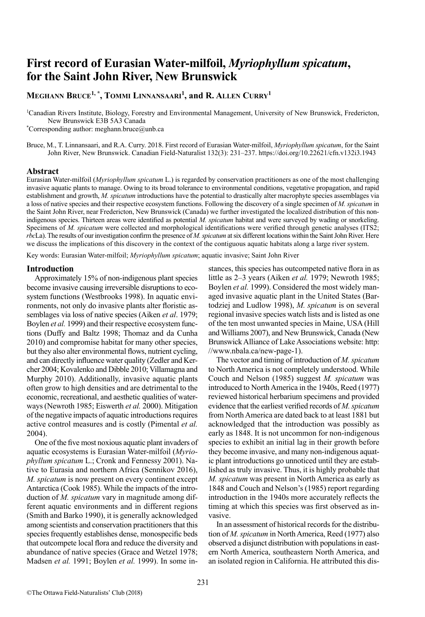# **First record of Eurasian Water-milfoil,** *Myriophyllum spicatum***, for the Saint John River, New Brunswick**

## **Meghann Bruce1, \*, Tommi Linnansaari<sup>1</sup> , and R. Allen Curry<sup>1</sup>**

1 Canadian Rivers Institute, Biology, Forestry and Environmental Management, University of New Brunswick, Fredericton, New Brunswick E3B 5A3 Canada

\* Corresponding author: meghann.bruce@unb.ca

Bruce, M., T. Linnansaari, and R.A. Curry. 2018. First record of Eurasian Water-milfoil, *Myriophyllum spicatum*, for the Saint John River, New Brunswick. Canadian Field-Naturalist 132(3): 231–237. https://doi.org/10.22621/cfn.v132i3.1943

## **Abstract**

Eurasian Water-milfoil (*Myriophyllum spicatum* L.) is regarded by conservation practitioners as one of the most challenging invasive aquatic plants to manage. Owing to its broad tolerance to environmental conditions, vegetative propagation, and rapid establishment and growth, *M. spicatum* introductions have the potential to drastically alter macrophyte species assemblages via a loss of native species and their respective ecosystem functions. Following the discovery of a single specimen of *M. spicatum* in the Saint John River, near Fredericton, New Brunswick (Canada) we further investigated the localized distribution of this nonindigenous species. Thirteen areas were identified as potential *M. spicatum* habitat and were surveyed by wading or snorkeling. Specimens of *M. spicatum* were collected and morphological identifications were verified through genetic analyses (ITS2; *rbc*La). The results of our investigation confirm the presence of *M. spicatum* at six different locations within the Saint John River. Here we discuss the implications of this discovery in the context of the contiguous aquatic habitats along a large river system.

Key words: Eurasian Water-milfoil; *Myriophyllum spicatum*; aquatic invasive; Saint John River

## **Introduction**

Approximately 15% of non-indigenous plant species become invasive causing irreversible disruptions to ecosystem functions (Westbrooks 1998). In aquatic environments, not only do invasive plants alter floristic assemblages via loss of native species (Aiken *et al*. 1979; Boylen *et al.* 1999) and their respective ecosystem functions (Duffy and Baltz 1998; Thomaz and da Cunha 2010) and compromise habitat for many other species, but they also alter environmental flows, nutrient cycling, and can directly influence water quality (Zedler and Kercher 2004; Kovalenko and Dibble 2010; Villamagna and Murphy 2010). Additionally, invasive aquatic plants often grow to high densities and are detrimental to the economic, recreational, and aesthetic qualities of waterways (Newroth 1985; Eiswerth *et al.* 2000). Mitigation of the negative impacts of aquatic introductions requires active control measures and is costly (Pimental *et al.* 2004).

One of the five most noxious aquatic plant invaders of aquatic ecosystems is Eurasian Water-milfoil (*Myriophyllum spicatum* L.; Cronk and Fennessy 2001). Native to Eurasia and northern Africa (Sennikov 2016), *M. spicatum* is now present on every continent except Antarctica (Cook 1985). While the impacts of the introduction of *M. spicatum* vary in magnitude among different aquatic environments and in different regions (Smith and Barko 1990), it is generally acknowledged among scientists and conservation practitioners that this species frequently establishes dense, monospecific beds that outcompete local flora and reduce the diversity and abundance of native species (Grace and Wetzel 1978; Madsen *et al.* 1991; Boylen *et al.* 1999). In some instances, this species has outcompeted native flora in as little as 2–3 years (Aiken *et al.* 1979; Newroth 1985; Boylen *et al.* 1999). Considered the most widely managed invasive aquatic plant in the United States (Bartodziej and Ludlow 1998), *M. spicatum* is on several regional invasive species watch lists and is listed as one of the ten most unwanted species in Maine, USA (Hill and Williams 2007), and New Brunswick, Canada (New Brunswick Alliance of Lake Associations website: [http:](http://www.nbala.ca/new-page-1) [//www.nbala.ca/new-page-1\)](http://www.nbala.ca/new-page-1).

The vector and timing of introduction of *M. spicatum* to North America is not completely understood. While Couch and Nelson (1985) suggest *M. spicatum* was introduced to North America in the 1940s, Reed (1977) reviewed historical herbarium specimens and provided evidence that the earliest verified records of *M. spicatum* from North America are dated back to at least 1881 but acknowledged that the introduction was possibly as early as 1848. It is not uncommon for non-indigenous species to exhibit an initial lag in their growth before they become invasive, and many non-indigenous aquatic plant introductions go unnoticed until they are established as truly invasive. Thus, it is highly probable that *M. spicatum* was present in North America as early as 1848 and Couch and Nelson's (1985) report regarding introduction in the 1940s more accurately reflects the timing at which this species was first observed as invasive.

In an assessment of historical records for the distribution of *M. spicatum* in North America, Reed (1977) also observed a disjunct distribution with populations in eastern North America, southeastern North America, and an isolated region in California. He attributed this dis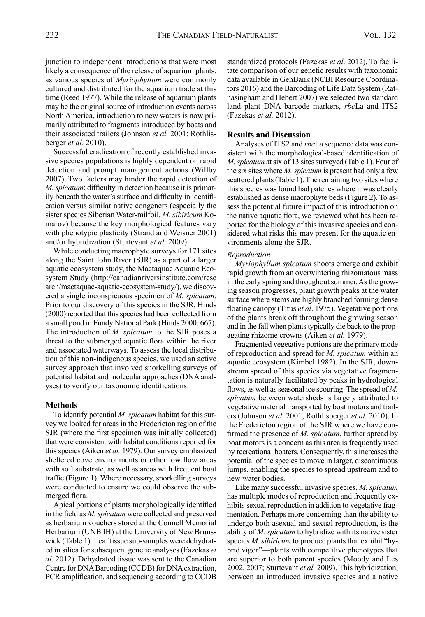junction to independent introductions that were most likely a consequence of the release of aquarium plants, as various species of *Myriophyllum* were commonly cultured and distributed for the aquarium trade at this time (Reed 1977). While the release of aquarium plants may be the original source of introduction events across North America, introduction to new waters is now primarily attributed to fragments introduced by boats and their associated trailers (Johnson *et al.* 2001; Rothlisberger *et al.* 2010).

Successful eradication of recently established invasive species populations is highly dependent on rapid detection and prompt management actions (Willby 2007). Two factors may hinder the rapid detection of *M. spicatum*: difficulty in detection because it is primarily beneath the water's surface and difficulty in identification versus similar native congeners (especially the sister species Siberian Water-milfoil, *M. sibiricum* Komarov) because the key morphological features vary with phenotypic plasticity (Strand and Weisner 2001) and/or hybridization (Sturtevant *et al*. 2009).

While conducting macrophyte surveys for 171 sites along the Saint John River (SJR) as a part of a larger aquatic ecosystem study, the Mactaquac Aquatic Ecosystem Study [\(http://canadianriversinstitute.com/rese](http://canadianriversinstitute.com/research/mactaquac-aquatic-ecosystem-study/) [arch/mactaquac-aquatic-ecosystem-study](http://canadianriversinstitute.com/research/mactaquac-aquatic-ecosystem-study/)/), we discovered a single inconspicuous specimen of *M. spicatum*. Prior to our discovery of this species in the SJR, Hinds (2000) reported that this species had been collected from a small pond in Fundy National Park (Hinds 2000: 667). The introduction of *M. spicatum* to the SJR poses a threat to the submerged aquatic flora within the river and associated waterways. To assess the local distribution of this non-indigenous species, we used an active survey approach that involved snorkelling surveys of potential habitat and molecular approaches (DNA analyses) to verify our taxonomic identifications.

## **Methods**

To identify potential *M. spicatum* habitat for this survey we looked for areas in the Fredericton region of the SJR (where the first specimen was initially collected) that were consistent with habitat conditions reported for this species (Aiken *et al.* 1979). Our survey emphasized sheltered cove environments or other low flow areas with soft substrate, as well as areas with frequent boat traffic (Figure 1). Where necessary, snorkelling surveys were conducted to ensure we could observe the submerged flora.

Apical portions of plants morphologically identified in the field as *M. spicatum* were collected and preserved as herbarium vouchers stored at the Connell Memorial Herbarium (UNB IH) at the University of New Brunswick (Table 1). Leaf tissue sub-samples were dehydrated in silica for subsequent genetic analyses (Fazekas *et al.* 2012). Dehydrated tissue was sent to the Canadian Centre for DNA Barcoding (CCDB) for DNA extraction, PCR amplification, and sequencing according to CCDB standardized protocols (Fazekas *et al*. 2012). To facilitate comparison of our genetic results with taxonomic data available in GenBank (NCBI Resource Coordinators 2016) and the Barcoding of Life Data System (Ratnasingham and Hebert 2007) we selected two standard land plant DNA barcode markers, *rbc*La and ITS2 (Fazekas *et al.* 2012).

## **Results and Discussion**

Analyses of ITS2 and *rbc*La sequence data was consistent with the morphological-based identification of *M. spicatum* at six of 13 sites surveyed (Table 1). Four of the six sites where *M. spicatum* is present had only a few scattered plants (Table 1). The remaining two sites where this species was found had patches where it was clearly established as dense macrophyte beds (Figure 2). To assess the potential future impact of this introduction on the native aquatic flora, we reviewed what has been reported for the biology of this invasive species and considered what risks this may present for the aquatic environments along the SJR.

### *Reproduction*

*Myriophyllum spicatum* shoots emerge and exhibit rapid growth from an overwintering rhizomatous mass in the early spring and throughout summer. As the growing season progresses, plant growth peaks at the water surface where stems are highly branched forming dense floating canopy (Titus *et al*. 1975). Vegetative portions of the plants break off throughout the growing season and in the fall when plants typically die back to the propagating rhizome crowns (Aiken *et al.* 1979).

Fragmented vegetative portions are the primary mode of reproduction and spread for *M. spicatum* within an aquatic ecosystem (Kimbel 1982). In the SJR, downstream spread of this species via vegetative fragmentation is naturally facilitated by peaks in hydrological flows, as well as seasonal ice scouring. The spread of *M. spicatum* between watersheds is largely attributed to vegetative material transported by boat motors and trailers (Johnson *et al.* 2001; Rothlisberger *et al.* 2010). In the Fredericton region of the SJR where we have confirmed the presence of *M. spicatum*, further spread by boat motors is a concern as this area is frequently used by recreational boaters. Consequently, this increases the potential of the species to move in larger, discontinuous jumps, enabling the species to spread upstream and to new water bodies.

Like many successful invasive species, *M. spicatum* has multiple modes of reproduction and frequently exhibits sexual reproduction in addition to vegetative fragmentation. Perhaps more concerning than the ability to undergo both asexual and sexual reproduction, is the ability of *M. spicatum* to hybridize with its native sister species *M. sibiricum* to produce plants that exhibit "hybrid vigor"—plants with competitive phenotypes that are superior to both parent species (Moody and Les 2002, 2007; Sturtevant *et al.* 2009). This hybridization, between an introduced invasive species and a native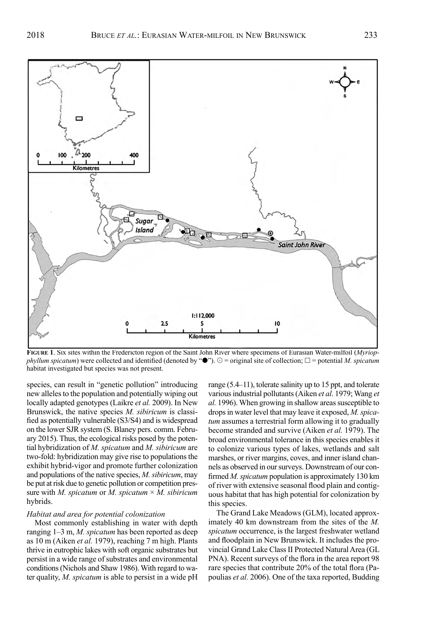

**Figure 1**. Six sites within the Fredericton region of the Saint John River where specimens of Eurasian Water-milfoil (*Myriopphyllum spicatum*) were collected and identified (denoted by " $\bullet$ ").  $\circ$  = original site of collection;  $\Box$  = potential *M. spicatum* habitat investigated but species was not present.

species, can result in "genetic pollution" introducing new alleles to the population and potentially wiping out locally adapted genotypes (Laikre *et al.* 2009). In New Brunswick, the native species *M. sibiricum* is classified as potentially vulnerable (S3/S4) and is widespread on the lower SJR system (S. Blaney pers. comm. February 2015). Thus, the ecological risks posed by the potential hybridization of *M. spicatum* and *M. sibiricum* are two-fold: hybridization may give rise to populations the exhibit hybrid-vigor and promote further colonization and populations of the native species, *M. sibiricum*, may be put at risk due to genetic pollution or competition pressure with *M. spicatum* or *M. spicatum* × *M. sibiricum* hybrids.

#### *Habitat and area for potential colonization*

Most commonly establishing in water with depth ranging 1–3 m, *M. spicatum* has been reported as deep as 10 m (Aiken *et al.* 1979), reaching 7 m high. Plants thrive in eutrophic lakes with soft organic substrates but persist in a wide range of substrates and environmental conditions (Nichols and Shaw 1986). With regard to water quality, *M. spicatum* is able to persist in a wide pH range (5.4–11), tolerate salinity up to 15 ppt, and tolerate various industrial pollutants (Aiken *et al*. 1979; Wang *et al.* 1996). When growing in shallow areas susceptible to drops in water level that may leave it exposed, *M. spicatum* assumes a terrestrial form allowing it to gradually become stranded and survive (Aiken *et al.* 1979). The broad environmental tolerance in this species enables it to colonize various types of lakes, wetlands and salt marshes, or river margins, coves, and inner island channels as observed in our surveys. Downstream of our confirmed *M. spicatum* population is approximately 130 km of river with extensive seasonal flood plain and contiguous habitat that has high potential for colonization by this species.

The Grand Lake Meadows (GLM), located approximately 40 km downstream from the sites of the *M. spicatum* occurrence, is the largest freshwater wetland and floodplain in New Brunswick. It includes the provincial Grand Lake Class II Protected Natural Area (GL PNA). Recent surveys of the flora in the area report 98 rare species that contribute 20% of the total flora (Papoulias *et al.* 2006). One of the taxa reported, Budding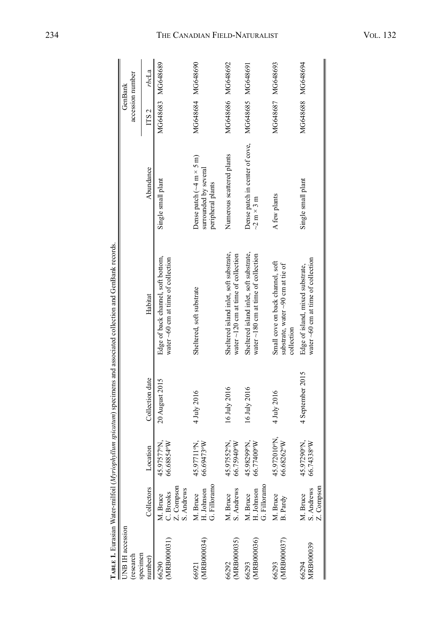|                                      |                                                   |                            |                  | TABLE I. Eurasian Water-milfoil (Myriophyllum spicatum) specimens and associated collection and GenBank records. |                                                                                                  |                             |       |
|--------------------------------------|---------------------------------------------------|----------------------------|------------------|------------------------------------------------------------------------------------------------------------------|--------------------------------------------------------------------------------------------------|-----------------------------|-------|
| <b>UNB IH</b> accession<br>(research |                                                   |                            |                  |                                                                                                                  |                                                                                                  | accession number<br>GenBank |       |
| specimen<br>number)                  | Collectors                                        | Location                   | Collection date  | Habitat                                                                                                          | Abundance                                                                                        | ITS <sub>2</sub>            | rbcLa |
| (MRB000031)<br>66290                 | Z. Compson<br>S. Andrews<br>C. Brooks<br>M. Bruce | 45.97577°N,<br>66.68854°W  | 20 August 2015   | Edge of back channel, soft bottom,<br>water $\sim 60$ cm at time of collection                                   | Single small plant                                                                               | MG648683 MG648689           |       |
| (MRB000034)<br>66921                 | M. Bruce<br>H. Johnson<br>G. Filloramo            | 66.69473°W<br>45.97711°N,  | 4 July 2016      | Sheltered, soft substrate                                                                                        | Dense patch $(\sim4 \text{ m} \times 5 \text{ m})$<br>surrounded by several<br>peripheral plants | MG648684 MG648690           |       |
| (MRB000035)<br>66292                 | M. Bruce<br>S. Andrews                            | 45.97552°N,<br>66.75940°W  | 16 July 2016     | Sheltered island inlet, soft substrate,<br>water $\sim$ 120 cm at time of collection                             | Numerous scattered plants                                                                        | MG648686 MG648692           |       |
| MRB000036)<br>66293                  | M. Bruce<br>H. Johnson<br>G. Filloramo            | 45.98299N,<br>66.77400°W   | 16 July 2016     | Sheltered island inlet, soft substrate,<br>water $\sim$ 180 cm at time of collection                             | Dense patch in center of cove,<br>$\sim$ 2 m $\times$ 3 m                                        | MG648685 MG648691           |       |
| (MRB000037)<br>66293                 | M. Bruce<br>B. Pardy                              | 45.972010°N,<br>66.68262°W | 4 July 2016      | Small cove on back channel, soft<br>substrate, water $\sim$ 90 cm at tie of<br>collection                        | A few plants                                                                                     | MG648687 MG648693           |       |
| <b>MRB00039</b><br>66294             | Z. Compson<br>M. Bruce<br>S. Andrews              | 45.97290°N,<br>66.74338°W  | 4 September 2015 | water $\sim 60$ cm at time of collection<br>Edge of island, mixed substrate,                                     | Single small plant                                                                               | MG648688 MG648694           |       |

#### The Canadian Field - N aturalis t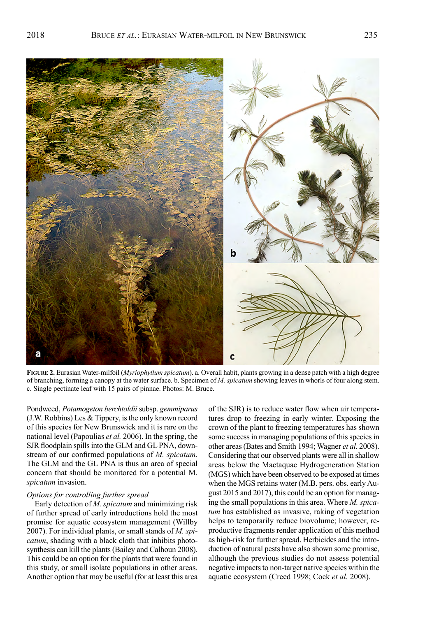c. Single pectinate leaf with 15 pairs of pinnae. Photos: M. Bruce.

Pondweed, *Potamogeton berchtoldii* subsp. *gemmiparus*  (J.W. Robbins) Les & Tippery, is the only known record of this species for New Brunswick and it is rare on the national level (Papoulias *et al.* 2006). In the spring, the SJR floodplain spills into the GLM and GL PNA, downstream of our confirmed populations of *M. spicatum*. The GLM and the GL PNA is thus an area of special concern that should be monitored for a potential M. *spicatum* invasion.

### *Options for controlling further spread*

Early detection of *M. spicatum* and minimizing risk of further spread of early introductions hold the most promise for aquatic ecosystem management (Willby 2007). For individual plants, or small stands of *M. spicatum*, shading with a black cloth that inhibits photosynthesis can kill the plants (Bailey and Calhoun 2008). This could be an option for the plants that were found in this study, or small isolate populations in other areas. Another option that may be useful (for at least this area of the SJR) is to reduce water flow when air temperatures drop to freezing in early winter. Exposing the crown of the plant to freezing temperatures has shown some success in managing populations of this species in other areas (Bates and Smith 1994; Wagner *et al*. 2008). Considering that our observed plants were all in shallow areas below the Mactaquac Hydrogeneration Station (MGS) which have been observed to be exposed at times when the MGS retains water (M.B. pers. obs. early August 2015 and 2017), this could be an option for managing the small populations in this area. Where *M. spicatum* has established as invasive, raking of vegetation helps to temporarily reduce biovolume; however, reproductive fragments render application of this method as high-risk for further spread. Herbicides and the introduction of natural pests have also shown some promise, although the previous studies do not assess potential negative impacts to non-target native species within the aquatic ecosystem (Creed 1998; Cock *et al.* 2008).

я **Figure 2.** Eurasian Water-milfoil (*Myriophyllum spicatum*). a. Overall habit, plants growing in a dense patch with a high degree of branching, forming a canopy at the water surface. b. Specimen of *M. spicatum* showing leaves in whorls of four along stem.

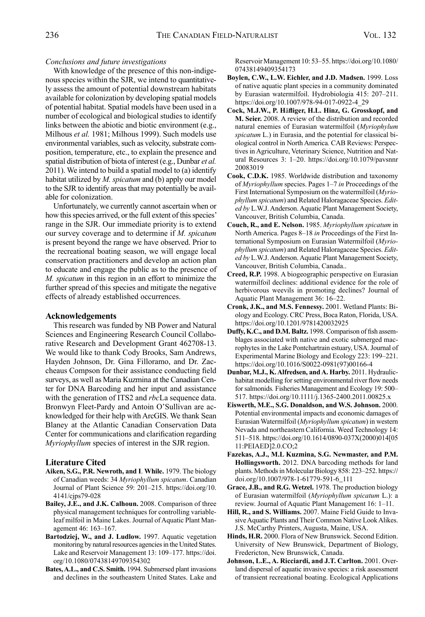## *Conclusions and future investigations*

With knowledge of the presence of this non-indigenous species within the SJR, we intend to quantitatively assess the amount of potential downstream habitats available for colonization by developing spatial models of potential habitat. Spatial models have been used in a number of ecological and biological studies to identify links between the abiotic and biotic environment (e.g., Milhous *et al.* 1981; Milhous 1999). Such models use environmental variables, such as velocity, substrate composition, temperature, etc., to explain the presence and spatial distribution of biota of interest (e.g., Dunbar *et al.* 2011). We intend to build a spatial model to (a) identify habitat utilized by *M. spicatum* and (b) apply our model to the SJR to identify areas that may potentially be available for colonization.

Unfortunately, we currently cannot ascertain when or how this species arrived, or the full extent of this species' range in the SJR. Our immediate priority is to extend our survey coverage and to determine if *M. spicatum* is present beyond the range we have observed. Prior to the recreational boating season, we will engage local conservation practitioners and develop an action plan to educate and engage the public as to the presence of *M. spicatum* in this region in an effort to minimize the further spread of this species and mitigate the negative effects of already established occurrences.

## **Acknowledgements**

This research was funded by NB Power and Natural Sciences and Engineering Research Council Collaborative Research and Development Grant 462708-13. We would like to thank Cody Brooks, Sam Andrews, Hayden Johnson, Dr. Gina Filloramo, and Dr. Zaccheaus Compson for their assistance conducting field surveys, as well as Maria Kuzmina at the Canadian Center for DNA Barcoding and her input and assistance with the generation of ITS2 and *rbc*La sequence data. Bronwyn Fleet-Pardy and Antoin O'Sullivan are acknowledged for their help with ArcGIS. We thank Sean Blaney at the Atlantic Canadian Conservation Data Center for communications and clarification regarding *Myriophyllum* species of interest in the SJR region.

## **Literature Cited**

- **Aiken, S.G., P.R. Newroth, and I**. **While.** 1979. The biology of Canadian weeds: 34 *Myriophyllum spicatum*. Canadian Journal of Plant Science 59: 201–215. [https://doi.org/10.](https://doi.org/10.4141/cjps79-028) [4141/cjps79-028](https://doi.org/10.4141/cjps79-028)
- **Bailey, J.E., and J.K. Calhoun.** 2008. Comparison of three physical management techniques for controlling variableleaf milfoil in Maine Lakes. Journal of Aquatic Plant Management 46: 163–167.
- **Bartodziej, W., and J. Ludlow.** 1997. Aquatic vegetation monitoring by natural resources agencies in the United States. Lake and Reservoir Management 13: 109–177. [https://doi.](https://doi.org/10.1080/07438149709354302) [org/10.1080/07438149709354302](https://doi.org/10.1080/07438149709354302)
- **Bates, A.L., and C.S. Smith.** 1994. Submersed plant invasions and declines in the southeastern United States. Lake and

Reservoir Management 10: 53–55. [https://doi.org/10.1080/](https://doi.org/10.1080/07438149409354173) [07438149409354173](https://doi.org/10.1080/07438149409354173)

- **Boylen, C.W., L.W. Eichler, and J.D. Madsen.** 1999. Loss of native aquatic plant species in a community dominated by Eurasian watermilfoil. Hydrobiologia 415: 207–211. [https://doi.org/10.1007/978-94-017-0922-4\\_29](https://doi.org/10.1007/978-94-017-0922-4_29)
- **Cock, M.J.W., P. H**ä**fliger, H.L. Hinz, G. Grosskopf, and M. Seier.** 2008. A review of the distribution and recorded natural enemies of Eurasian watermilfoil (*Myriophylum spicatum* L.) in Eurasia, and the potential for classical biological control in North America*.* CAB Reviews: Perspectives in Agriculture, Veterinary Science, Nutrition and Natural Resources 3: 1–20. [https://doi.org/10.1079/pavsnnr](https://doi.org/10.1079/pavsnnr20083019) [20083019](https://doi.org/10.1079/pavsnnr20083019)
- **Cook, C.D.K.** 1985. Worldwide distribution and taxonomy of *Myriophyllum* species. Pages 1–7 *in* Proceedings of the First International Symposium on the watermilfoil (*Myriophyllum spicatum*) and Related Haloragaceae Species. *Edited by* L.W.J. Anderson. Aquatic Plant Management Society, Vancouver, British Columbia, Canada.
- **Couch, R., and E. Nelson.** 1985. *Myriophyllum spicatum* in North America. Pages 8–18 *in* Proceedings of the First International Symposium on Eurasian Watermilfoil (*Myriophyllum spicatum*) and Related Haloragaceae Species. *Edited by* L.W.J. Anderson. Aquatic Plant Management Society, Vancouver, British Columbia, Canada..
- **Creed, R.P.** 1998. A biogeographic perspective on Eurasian watermilfoil declines: additional evidence for the role of herbivorous weevils in promoting declines? Journal of Aquatic Plant Management 36: 16–22.
- **Cronk, J.K., and M.S. Fennessy.** 2001. Wetland Plants: Biology and Ecology. CRC Press, Boca Raton, Florida, USA. <https://doi.org/10.1201/9781420032925>
- **Duffy, K.C., and D.M. Baltz.** 1998. Comparison of fish assemblages associated with native and exotic submerged macrophytes in the Lake Pontchartrain estuary, USA. Journal of Experimental Marine Biology and Ecology 223: 199–221. [https://doi.org/10.1016/S0022-0981\(97\)00166-4](https://doi.org/10.1016/S0022-0981(97)00166-4)
- **Dunbar, M.J., K. Alfredsen, and A. Harby.** 2011. Hydraulichabitat modelling for setting environmental river flow needs for salmonids*.* Fisheries Management and Ecology 19: 500– 517. <https://doi.org/10.1111/j.1365-2400.2011.00825.x>
- **Eiswerth, M.E., S.G. Donaldson, and W.S. Johnson.** 2000. Potential environmental impacts and economic damages of Eurasian Watermilfoil (*Myriophyllum spicatum*) in western Nevada and northeastern California. Weed Technology 14: 511–518. [https://doi.org/10.1614/0890-037X\(2000\)014\[05](https://doi.org/10.1614/0890-037X(2000)014%5b0511:PEIAED%5d2.0.CO;2) [11:PEIAED\]2.0.CO;2](https://doi.org/10.1614/0890-037X(2000)014%5b0511:PEIAED%5d2.0.CO;2)
- **Fazekas, A.J., M.L Kuzmina, S.G. Newmaster, and P.M. Hollingsworth.** 2012. DNA barcoding methods for land plants. Methods in Molecular Biology 858: 223–252. https:// doi.org/[10.1007/978-1-61779-591-6\\_111](https://doi.org/10.1007/978-1-61779-591-6_11)
- **Grace, J.B., and R.G. Wetzel.** 1978. The production biology of Eurasian watermilfoil (*Myriophyllum spicatum* L.): a review. Journal of Aquatic Plant Management 16: 1–11.
- **Hill, R., and S. Williams.** 2007. Maine Field Guide to Invasive Aquatic Plants and Their Common Native Look Alikes. J.S. McCarthy Printers, Augusta, Maine, USA.
- **Hinds, H.R.** 2000. Flora of New Brunswick. Second Edition. University of New Brunswick, Department of Biology, Fredericton, New Brunswick, Canada.
- **Johnson, L.E., A. Ricciardi, and J.T. Carlton.** 2001. Overland dispersal of aquatic invasive species: a risk assessment of transient recreational boating. Ecological Applications